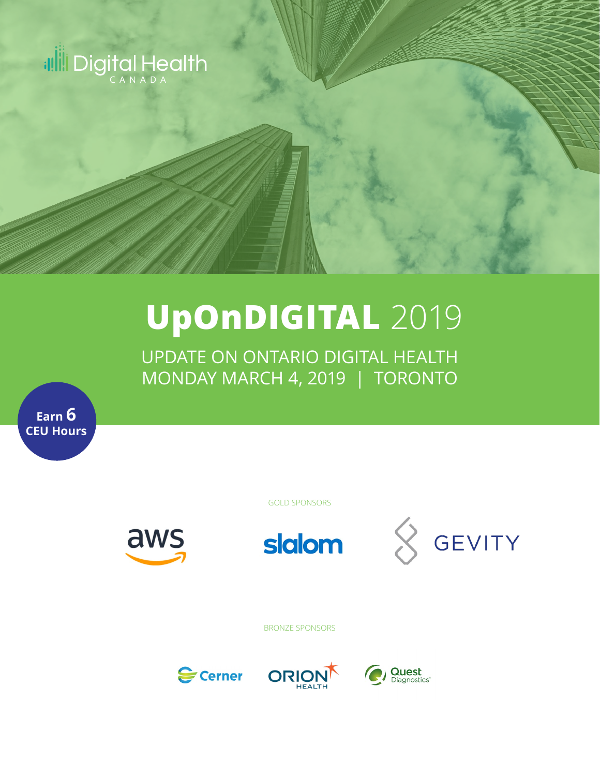

# **UpOnDIGITAL** 2019

UPDATE ON ONTARIO DIGITAL HEALTH MONDAY MARCH 4, 2019 | TORONTO

**Earn 6 CEU Hours**

GOLD SPONSORS

aws





BRONZE SPONSORS





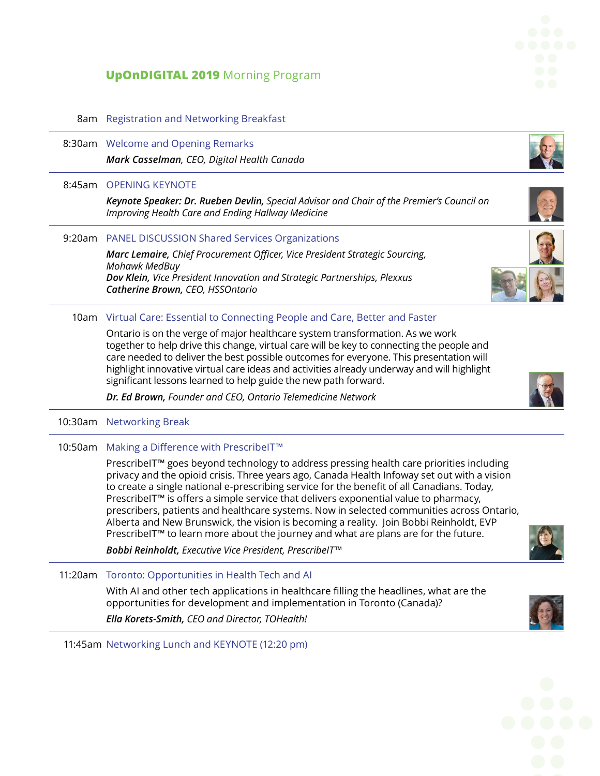# **UpOnDIGITAL 2019** Morning Program

## 8am Registration and Networking Breakfast

8:30am Welcome and Opening Remarks *Mark Casselman, CEO, Digital Health Canada*

#### 8:45am OPENING KEYNOTE

*Keynote Speaker: Dr. Rueben Devlin, Special Advisor and Chair of the Premier's Council on Improving Health Care and Ending Hallway Medicine*

### 9:20am PANEL DISCUSSION Shared Services Organizations

*Marc Lemaire, Chief Procurement Officer, Vice President Strategic Sourcing, Mohawk MedBuy Dov Klein, Vice President Innovation and Strategic Partnerships, Plexxus Catherine Brown, CEO, HSSOntario*

### 10am Virtual Care: Essential to Connecting People and Care, Better and Faster

Ontario is on the verge of major healthcare system transformation. As we work together to help drive this change, virtual care will be key to connecting the people and care needed to deliver the best possible outcomes for everyone. This presentation will highlight innovative virtual care ideas and activities already underway and will highlight significant lessons learned to help guide the new path forward.

*Dr. Ed Brown, Founder and CEO, Ontario Telemedicine Network*

10:30am Networking Break

10:50am Making a Difference with PrescribeIT™

PrescribeIT™ goes beyond technology to address pressing health care priorities including privacy and the opioid crisis. Three years ago, Canada Health Infoway set out with a vision to create a single national e-prescribing service for the benefit of all Canadians. Today, PrescribeIT™ is offers a simple service that delivers exponential value to pharmacy, prescribers, patients and healthcare systems. Now in selected communities across Ontario, Alberta and New Brunswick, the vision is becoming a reality. Join Bobbi Reinholdt, EVP PrescribeIT™ to learn more about the journey and what are plans are for the future.

*Bobbi Reinholdt, Executive Vice President, PrescribeIT™*

11:20am Toronto: Opportunities in Health Tech and AI

With AI and other tech applications in healthcare filling the headlines, what are the opportunities for development and implementation in Toronto (Canada)?

*Ella Korets-Smith, CEO and Director, TOHealth!*

11:45am Networking Lunch and KEYNOTE (12:20 pm)











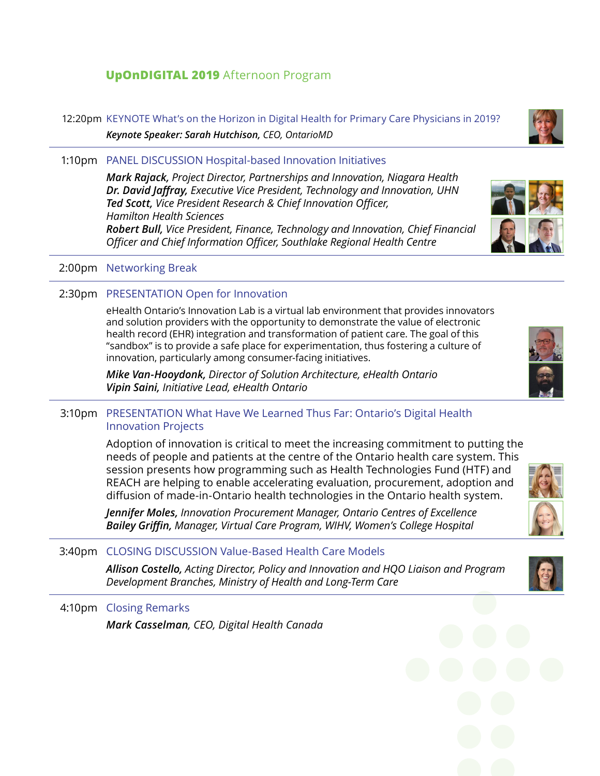# **UpOnDIGITAL 2019** Afternoon Program

12:20pm KEYNOTE What's on the Horizon in Digital Health for Primary Care Physicians in 2019? *Keynote Speaker: Sarah Hutchison, CEO, OntarioMD*

1:10pm PANEL DISCUSSION Hospital-based Innovation Initiatives

*Mark Rajack, Project Director, Partnerships and Innovation, Niagara Health Dr. David Jaffray, Executive Vice President, Technology and Innovation, UHN Ted Scott, Vice President Research & Chief Innovation Officer, Hamilton Health Sciences Robert Bull, Vice President, Finance, Technology and Innovation, Chief Financial Officer and Chief Information Officer, Southlake Regional Health Centre*

## 2:00pm Networking Break

# 2:30pm PRESENTATION Open for Innovation

eHealth Ontario's Innovation Lab is a virtual lab environment that provides innovators and solution providers with the opportunity to demonstrate the value of electronic health record (EHR) integration and transformation of patient care. The goal of this "sandbox" is to provide a safe place for experimentation, thus fostering a culture of innovation, particularly among consumer-facing initiatives.

*Mike Van-Hooydonk, Director of Solution Architecture, eHealth Ontario Vipin Saini, Initiative Lead, eHealth Ontario*

## 3:10pm PRESENTATION What Have We Learned Thus Far: Ontario's Digital Health Innovation Projects

Adoption of innovation is critical to meet the increasing commitment to putting the needs of people and patients at the centre of the Ontario health care system. This session presents how programming such as Health Technologies Fund (HTF) and REACH are helping to enable accelerating evaluation, procurement, adoption and diffusion of made-in-Ontario health technologies in the Ontario health system.

*Jennifer Moles, Innovation Procurement Manager, Ontario Centres of Excellence Bailey Griffin, Manager, Virtual Care Program, WIHV, Women's College Hospital*

# 3:40pm CLOSING DISCUSSION Value-Based Health Care Models

*Allison Costello, Acting Director, Policy and Innovation and HQO Liaison and Program Development Branches, Ministry of Health and Long-Term Care*

## 4:10pm Closing Remarks

*Mark Casselman, CEO, Digital Health Canada*